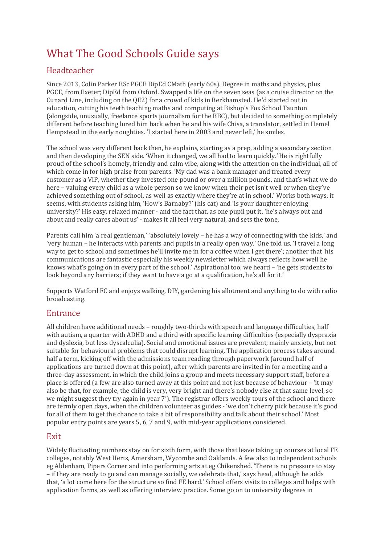# What The Good Schools Guide says

## Headteacher

Since 2013, Colin Parker BSc PGCE DipEd CMath (early 60s). Degree in maths and physics, plus PGCE, from Exeter; DipEd from Oxford. Swapped a life on the seven seas (as a cruise director on the Cunard Line, including on the QE2) for a crowd of kids in Berkhamsted. He'd started out in education, cutting his teeth teaching maths and computing at Bishop's Fox School Taunton (alongside, unusually, freelance sports journalism for the BBC), but decided to something completely different before teaching lured him back when he and his wife Chisa, a translator, settled in Hemel Hempstead in the early noughties. 'I started here in 2003 and never left,' he smiles.

The school was very different back then, he explains, starting as a prep, adding a secondary section and then developing the SEN side. 'When it changed, we all had to learn quickly.' He is rightfully proud of the school's homely, friendly and calm vibe, along with the attention on the individual, all of which come in for high praise from parents. 'My dad was a bank manager and treated every customer as a VIP, whether they invested one pound or over a million pounds, and that's what we do here – valuing every child as a whole person so we know when their pet isn't well or when they've achieved something out of school, as well as exactly where they're at in school.' Works both ways, it seems, with students asking him, 'How's Barnaby?' (his cat) and 'Is your daughter enjoying university?' His easy, relaxed manner - and the fact that, as one pupil put it, 'he's always out and about and really cares about us' - makes it all feel very natural, and sets the tone.

Parents call him 'a real gentleman,' 'absolutely lovely – he has a way of connecting with the kids,' and 'very human – he interacts with parents and pupils in a really open way.' One told us, 'I travel a long way to get to school and sometimes he'll invite me in for a coffee when I get there'; another that 'his communications are fantastic especially his weekly newsletter which always reflects how well he knows what's going on in every part of the school.' Aspirational too, we heard – 'he gets students to look beyond any barriers; if they want to have a go at a qualification, he's all for it.'

Supports Watford FC and enjoys walking, DIY, gardening his allotment and anything to do with radio broadcasting.

### Entrance

All children have additional needs – roughly two-thirds with speech and language difficulties, half with autism, a quarter with ADHD and a third with specific learning difficulties (especially dyspraxia and dyslexia, but less dyscalculia). Social and emotional issues are prevalent, mainly anxiety, but not suitable for behavioural problems that could disrupt learning. The application process takes around half a term, kicking off with the admissions team reading through paperwork (around half of applications are turned down at this point), after which parents are invited in for a meeting and a three-day assessment, in which the child joins a group and meets necessary support staff, before a place is offered (a few are also turned away at this point and not just because of behaviour – 'it may also be that, for example, the child is very, very bright and there's nobody else at that same level, so we might suggest they try again in year 7'). The registrar offers weekly tours of the school and there are termly open days, when the children volunteer as guides - 'we don't cherry pick because it's good for all of them to get the chance to take a bit of responsibility and talk about their school.' Most popular entry points are years 5, 6, 7 and 9, with mid-year applications considered.

#### **Exit**

Widely fluctuating numbers stay on for sixth form, with those that leave taking up courses at local FE colleges, notably West Herts, Amersham, Wycombe and Oaklands. A few also to independent schools eg Aldenham, Pipers Corner and into performing arts at eg Chikenshed. 'There is no pressure to stay – if they are ready to go and can manage socially, we celebrate that,' says head, although he adds that, 'a lot come here for the structure so find FE hard.' School offers visits to colleges and helps with application forms, as well as offering interview practice. Some go on to university degrees in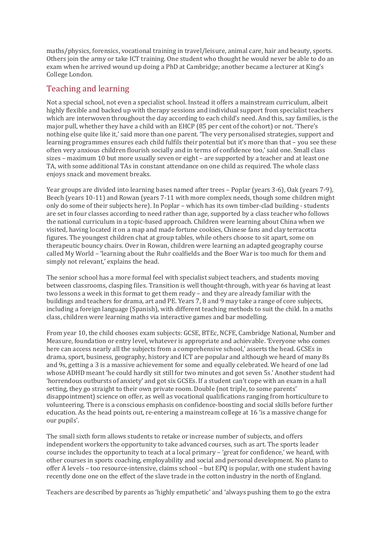maths/physics, forensics, vocational training in travel/leisure, animal care, hair and beauty, sports. Others join the army or take ICT training. One student who thought he would never be able to do an exam when he arrived wound up doing a PhD at Cambridge; another became a lecturer at King's College London.

#### Teaching and learning

Not a special school, not even a specialist school. Instead it offers a mainstream curriculum, albeit highly flexible and backed up with therapy sessions and individual support from specialist teachers which are interwoven throughout the day according to each child's need. And this, say families, is the major pull, whether they have a child with an EHCP (85 per cent of the cohort) or not. 'There's nothing else quite like it,' said more than one parent. 'The very personalised strategies, support and learning programmes ensures each child fulfils their potential but it's more than that – you see these often very anxious children flourish socially and in terms of confidence too,' said one. Small class sizes – maximum 10 but more usually seven or eight – are supported by a teacher and at least one TA, with some additional TAs in constant attendance on one child as required. The whole class enjoys snack and movement breaks.

Year groups are divided into learning bases named after trees – Poplar (years 3-6), Oak (years 7-9), Beech (years 10-11) and Rowan (years 7-11 with more complex needs, though some children might only do some of their subjects here). In Poplar – which has its own timber-clad building - students are set in four classes according to need rather than age, supported by a class teacher who follows the national curriculum in a topic-based approach. Children were learning about China when we visited, having located it on a map and made fortune cookies, Chinese fans and clay terracotta figures. The youngest children chat at group tables, while others choose to sit apart, some on therapeutic bouncy chairs. Over in Rowan, children were learning an adapted geography course called My World – 'learning about the Ruhr coalfields and the Boer War is too much for them and simply not relevant,' explains the head.

The senior school has a more formal feel with specialist subject teachers, and students moving between classrooms, clasping files. Transition is well thought-through, with year 6s having at least two lessons a week in this format to get them ready – and they are already familiar with the buildings and teachers for drama, art and PE. Years 7, 8 and 9 may take a range of core subjects, including a foreign language (Spanish), with different teaching methods to suit the child. In a maths class, children were learning maths via interactive games and bar modelling.

From year 10, the child chooses exam subjects: GCSE, BTEc, NCFE, Cambridge National, Number and Measure, foundation or entry level, whatever is appropriate and achievable. 'Everyone who comes here can access nearly all the subjects from a comprehensive school,' asserts the head. GCSEs in drama, sport, business, geography, history and ICT are popular and although we heard of many 8s and 9s, getting a 3 is a massive achievement for some and equally celebrated. We heard of one lad whose ADHD meant 'he could hardly sit still for two minutes and got seven 5s.' Another student had 'horrendous outbursts of anxiety' and got six GCSEs. If a student can't cope with an exam in a hall setting, they go straight to their own private room. Double (not triple, to some parents' disappointment) science on offer, as well as vocational qualifications ranging from horticulture to volunteering. There is a conscious emphasis on confidence-boosting and social skills before further education. As the head points out, re-entering a mainstream college at 16 'is a massive change for our pupils'.

The small sixth form allows students to retake or increase number of subjects, and offers independent workers the opportunity to take advanced courses, such as art. The sports leader course includes the opportunity to teach at a local primary – 'great for confidence,' we heard, with other courses in sports coaching, employability and social and personal development. No plans to offer A levels – too resource-intensive, claims school – but EPQ is popular, with one student having recently done one on the effect of the slave trade in the cotton industry in the north of England.

Teachers are described by parents as 'highly empathetic' and 'always pushing them to go the extra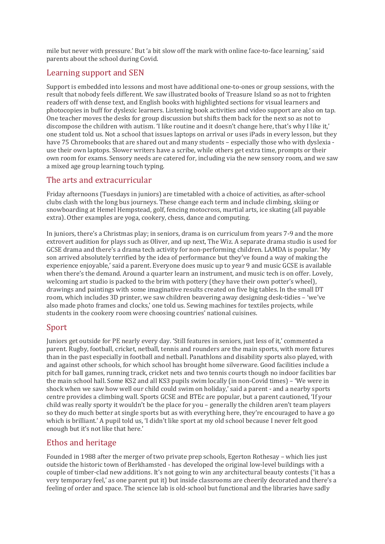mile but never with pressure.' But 'a bit slow off the mark with online face-to-face learning,' said parents about the school during Covid.

## Learning support and SEN

Support is embedded into lessons and most have additional one-to-ones or group sessions, with the result that nobody feels different. We saw illustrated books of Treasure Island so as not to frighten readers off with dense text, and English books with highlighted sections for visual learners and photocopies in buff for dyslexic learners. Listening book activities and video support are also on tap. One teacher moves the desks for group discussion but shifts them back for the next so as not to discompose the children with autism. 'I like routine and it doesn't change here, that's why I like it,' one student told us. Not a school that issues laptops on arrival or uses iPads in every lesson, but they have 75 Chromebooks that are shared out and many students – especially those who with dyslexia use their own laptops. Slower writers have a scribe, while others get extra time, prompts or their own room for exams. Sensory needs are catered for, including via the new sensory room, and we saw a mixed age group learning touch typing.

## The arts and extracurricular

Friday afternoons (Tuesdays in juniors) are timetabled with a choice of activities, as after-school clubs clash with the long bus journeys. These change each term and include climbing, skiing or snowboarding at Hemel Hempstead, golf, fencing motocross, martial arts, ice skating (all payable extra). Other examples are yoga, cookery, chess, dance and computing.

In juniors, there's a Christmas play; in seniors, drama is on curriculum from years 7-9 and the more extrovert audition for plays such as Oliver, and up next, The Wiz. A separate drama studio is used for GCSE drama and there's a drama tech activity for non-performing children. LAMDA is popular. 'My son arrived absolutely terrified by the idea of performance but they've found a way of making the experience enjoyable,' said a parent. Everyone does music up to year 9 and music GCSE is available when there's the demand. Around a quarter learn an instrument, and music tech is on offer. Lovely, welcoming art studio is packed to the brim with pottery (they have their own potter's wheel), drawings and paintings with some imaginative results created on five big tables. In the small DT room, which includes 3D printer, we saw children beavering away designing desk-tidies – 'we've also made photo frames and clocks,' one told us. Sewing machines for textiles projects, while students in the cookery room were choosing countries' national cuisines.

### Sport

Juniors get outside for PE nearly every day. 'Still features in seniors, just less of it,' commented a parent. Rugby, football, cricket, netball, tennis and rounders are the main sports, with more fixtures than in the past especially in football and netball. Panathlons and disability sports also played, with and against other schools, for which school has brought home silverware. Good facilities include a pitch for ball games, running track, cricket nets and two tennis courts though no indoor facilities bar the main school hall. Some KS2 and all KS3 pupils swim locally (in non-Covid times) – 'We were in shock when we saw how well our child could swim on holiday,' said a parent - and a nearby sports centre provides a climbing wall. Sports GCSE and BTEc are popular, but a parent cautioned, 'If your child was really sporty it wouldn't be the place for you – generally the children aren't team players so they do much better at single sports but as with everything here, they're encouraged to have a go which is brilliant.' A pupil told us, 'I didn't like sport at my old school because I never felt good enough but it's not like that here.'

## Ethos and heritage

Founded in 1988 after the merger of two private prep schools, Egerton Rothesay – which lies just outside the historic town of Berkhamsted - has developed the original low-level buildings with a couple of timber-clad new additions. It's not going to win any architectural beauty contests ('it has a very temporary feel,' as one parent put it) but inside classrooms are cheerily decorated and there's a feeling of order and space. The science lab is old-school but functional and the libraries have sadly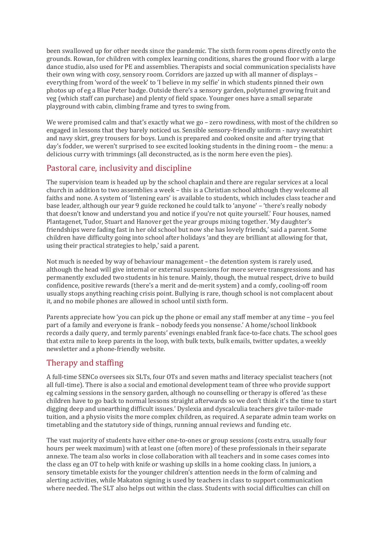been swallowed up for other needs since the pandemic. The sixth form room opens directly onto the grounds. Rowan, for children with complex learning conditions, shares the ground floor with a large dance studio, also used for PE and assemblies. Therapists and social communication specialists have their own wing with cosy, sensory room. Corridors are jazzed up with all manner of displays – everything from 'word of the week' to 'I believe in my selfie' in which students pinned their own photos up of eg a Blue Peter badge. Outside there's a sensory garden, polytunnel growing fruit and veg (which staff can purchase) and plenty of field space. Younger ones have a small separate playground with cabin, climbing frame and tyres to swing from.

We were promised calm and that's exactly what we go - zero rowdiness, with most of the children so engaged in lessons that they barely noticed us. Sensible sensory-friendly uniform - navy sweatshirt and navy skirt, grey trousers for boys. Lunch is prepared and cooked onsite and after trying that day's fodder, we weren't surprised to see excited looking students in the dining room – the menu: a delicious curry with trimmings (all deconstructed, as is the norm here even the pies).

## Pastoral care, inclusivity and discipline

The supervision team is headed up by the school chaplain and there are regular services at a local church in addition to two assemblies a week – this is a Christian school although they welcome all faiths and none. A system of 'listening ears' is available to students, which includes class teacher and base leader, although our year 9 guide reckoned he could talk to 'anyone' – 'there's really nobody that doesn't know and understand you and notice if you're not quite yourself.' Four houses, named Plantagenet, Tudor, Stuart and Hanover get the year groups mixing together. 'My daughter's friendships were fading fast in her old school but now she has lovely friends,' said a parent. Some children have difficulty going into school after holidays 'and they are brilliant at allowing for that, using their practical strategies to help,' said a parent.

Not much is needed by way of behaviour management – the detention system is rarely used, although the head will give internal or external suspensions for more severe transgressions and has permanently excluded two students in his tenure. Mainly, though, the mutual respect, drive to build confidence, positive rewards (there's a merit and de-merit system) and a comfy, cooling-off room usually stops anything reaching crisis point. Bullying is rare, though school is not complacent about it, and no mobile phones are allowed in school until sixth form.

Parents appreciate how 'you can pick up the phone or email any staff member at any time – you feel part of a family and everyone is frank – nobody feeds you nonsense.' A home/school linkbook records a daily query, and termly parents' evenings enabled frank face-to-face chats. The school goes that extra mile to keep parents in the loop, with bulk texts, bulk emails, twitter updates, a weekly newsletter and a phone-friendly website.

### Therapy and staffing

A full-time SENCo oversees six SLTs, four OTs and seven maths and literacy specialist teachers (not all full-time). There is also a social and emotional development team of three who provide support eg calming sessions in the sensory garden, although no counselling or therapy is offered 'as these children have to go back to normal lessons straight afterwards so we don't think it's the time to start digging deep and unearthing difficult issues.' Dyslexia and dyscalculia teachers give tailor-made tuition, and a physio visits the more complex children, as required. A separate admin team works on timetabling and the statutory side of things, running annual reviews and funding etc.

The vast majority of students have either one-to-ones or group sessions (costs extra, usually four hours per week maximum) with at least one (often more) of these professionals in their separate annexe. The team also works in close collaboration with all teachers and in some cases comes into the class eg an OT to help with knife or washing up skills in a home cooking class. In juniors, a sensory timetable exists for the younger children's attention needs in the form of calming and alerting activities, while Makaton signing is used by teachers in class to support communication where needed. The SLT also helps out within the class. Students with social difficulties can chill on